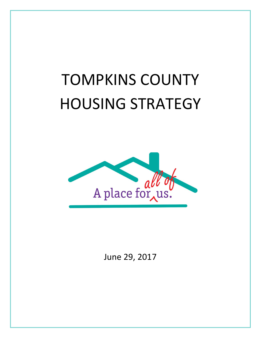# TOMPKINS COUNTY HOUSING STRATEGY



June 29, 2017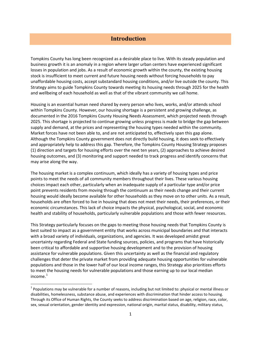## **Introduction**

 unaffordable housing costs, accept substandard housing conditions, and/or live outside the county. This Strategy aims to guide Tompkins County towards meeting its housing needs through 2025 for the health and wellbeing of each household as well as that of the vibrant community we call home. Tompkins County has long been recognized as a desirable place to live. With its steady population and business growth it is an anomaly in a region where larger urban centers have experienced significant losses in population and jobs. As a result of economic growth within the county, the existing housing stock is insufficient to meet current and future housing needs without forcing households to pay

 Housing is an essential human need shared by every person who lives, works, and/or attends school documented in the 2016 Tompkins County Housing Needs Assessment, which projected needs through supply and demand, at the prices and representing the housing types needed within the community. Although the Tompkins County government does not directly build housing, it does seek to effectively housing outcomes, and (3) monitoring and support needed to track progress and identify concerns that may arise along the way. within Tompkins County. However, our housing shortage is a persistent and growing challenge, as 2025. This shortage is projected to continue growing unless progress is made to bridge the gap between Market forces have not been able to, and are not anticipated to, effectively span this gap alone. and appropriately help to address this gap. Therefore, the Tompkins County Housing Strategy proposes (1) direction and targets for housing efforts over the next ten years, (2) approaches to achieve desired

may arise along the way.<br>The housing market is a complex continuum, which ideally has a variety of housing types and price points to meet the needs of all community members throughout their lives. These various housing choices impact each other, particularly when an inadequate supply of a particular type and/or price housing would ideally become available for other households as they move on to other units. As a result, economic circumstances. This lack of choice impacts the physical, psychological, social, and economic health and stability of households, particularly vulnerable populations and those with fewer resources. point prevents residents from moving through the continuum as their needs change and their current households are often forced to live in housing that does not meet their needs, their preferences, or their

 with a broad variety of individuals, organizations, and agencies. It was developed amidst great been critical to affordable and supportive housing development and to the provision of housing challenges that deter the private market from providing adequate housing opportunities for vulnerable populations and those in the lower half of our local income ranges, this Strategy also prioritizes efforts This Strategy particularly focuses on the gaps to meeting those housing needs that Tompkins County is best suited to impact as a government entity that works across municipal boundaries and that interacts uncertainty regarding Federal and State funding sources, policies, and programs that have historically assistance for vulnerable populations. Given this uncertainty as well as the financial and regulatory to meet the housing needs for vulnerable populations and those earning up to our local median income. [1](#page-1-0) 

**.** 

<span id="page-1-0"></span> $1$  Populations may be vulnerable for a number of reasons, including but not limited to: physical or mental illness or disabilities, homelessness, substance abuse, and experiences with discrimination that hinder access to housing. Through its Office of Human Rights, the County seeks to address discrimination based on age, religion, race, color, sex, sexual orientation, gender identity and expression, national origin, marital status, disability, military status,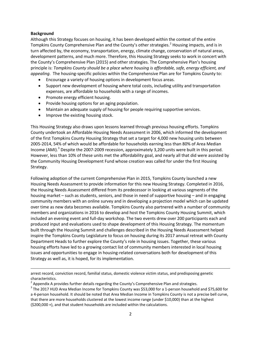#### **Background**

**.** 

 development patterns, and much more. Therefore, this Housing Strategy seeks to work in concert with the County's Comprehensive Plan (2015) and other strategies. The Comprehensive Plan's housing  principle is: *Tompkins County should be a place where housing is affordable, safe, energy efficient, and appealing*. The housing-specific policies within the Comprehensive Plan are for Tompkins County to: Although this Strategy focuses on housing, it has been developed within the context of the entire Tompkins County Comprehensive Plan and the County's other strategies.<sup>[2](#page-2-0)</sup> Housing impacts, and is in turn affected by, the economy, transportation, energy, climate change, conservation of natural areas,

- **•** Encourage a variety of housing options in development focus areas.
- Support new development of housing where total costs, including utility and transportation expenses, are affordable to households with a range of incomes.
- Promote energy efficient housing.
- • Provide housing options for an aging population.
- Maintain an adequate supply of housing for people requiring supportive services.
- • Improve the existing housing stock.

 of the first Tompkins County Housing Strategy that set a target for 4,000 new housing units between 2005-2014, 54% of which would be affordable for households earning less than 80% of Area Median Income (AMI).<sup>3</sup> Despite the 2007-2009 recession, approximately 3,200 units were built in this period. This Housing Strategy also draws upon lessons learned through previous housing efforts. Tompkins County undertook an Affordable Housing Needs Assessment in 2006, which informed the development However, less than 10% of these units met the affordability goal, and nearly all that did were assisted by the Community Housing Development Fund whose creation was called for under the first Housing Strategy.

 Following adoption of the current Comprehensive Plan in 2015, Tompkins County launched a new community members with an online survey and in developing a projection model which can be updated produced input and evaluations used to shape development of this Housing Strategy. The momentum housing efforts have led to a growing contact list of community members interested in local housing issues and opportunities to engage in housing-related conversations both for development of this Housing Needs Assessment to provide information for this new Housing Strategy. Completed in 2016, the Housing Needs Assessment differed from its predecessor in looking at various segments of the housing market – such as students, seniors, and those in need of supportive housing – and in engaging over time as new data becomes available. Tompkins County also partnered with a number of community members and organizations in 2016 to develop and host the Tompkins County Housing Summit, which included an evening event and full-day workshop. The two events drew over 200 participants each and built through the Housing Summit and challenges described in the Housing Needs Assessment helped inspire the Tompkins County Legislature to focus on housing during its 2017 annual retreat with County Department Heads to further explore the County's role in housing issues. Together, these various Strategy as well as, it is hoped, for its implementation.

 arrest record, conviction record, familial status, domestic violence victim status, and predisposing genetic characteristics.

<span id="page-2-0"></span> $2$  Appendix A provides further details regarding the County's Comprehensive Plan and strategies.

<span id="page-2-1"></span> $^3$  The 2017 HUD Area Median Income for Tompkins County was \$53,000 for a 1-person household and \$75,600 for a 4-person household. It should be noted that Area Median Income in Tompkins County is not a precise bell curve, that there are more households clustered at the lowest income range (under \$10,000) than at the highest (\$200,000 +), and that student households are included within the calculations.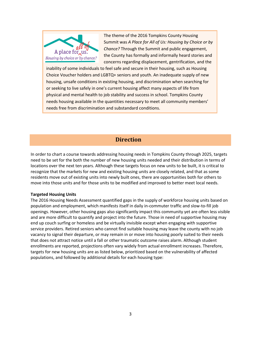

The theme of the 2016 Tompkins County Housing Summit was *A Place for All of Us: Housing by Choice or by Chance?* Through the Summit and public engagement, the County has formally and informally heard stories and concerns regarding displacement, gentrification, and the

 Choice Voucher holders and LGBTQ+ seniors and youth. An inadequate supply of new or seeking to live safely in one's current housing affect many aspects of life from physical and mental health to job stability and success in school. Tompkins County needs housing available in the quantities necessary to meet all community members' inability of some individuals to feel safe and secure in their housing, such as Housing housing, unsafe conditions in existing housing, and discrimination when searching for needs free from discrimination and substandard conditions.

## **Direction**

 In order to chart a course towards addressing housing needs in Tompkins County through 2025, targets need to be set for the both the number of new housing units needed and their distribution in terms of residents move out of existing units into newly built ones, there are opportunities both for others to move into those units and for those units to be modified and improved to better meet local needs. locations over the next ten years. Although these targets focus on new units to be built, it is critical to recognize that the markets for new and existing housing units are closely related, and that as some

#### **Targeted Housing Units**

 The 2016 Housing Needs Assessment quantified gaps in the supply of workforce housing units based on openings. However, other housing gaps also significantly impact this community yet are often less visible and are more difficult to quantify and project into the future. Those in need of supportive housing may enrollments are reported, projections often vary widely from actual enrollment increases. Therefore, population and employment, which manifests itself in daily in-commuter traffic and slow-to-fill job end up couch surfing or homeless and be virtually invisible except when engaging with supportive service providers. Retired seniors who cannot find suitable housing may leave the county with no job vacancy to signal their departure, or may remain in or move into housing poorly suited to their needs that does not attract notice until a fall or other traumatic outcome raises alarm. Although student targets for new housing units are as listed below, prioritized based on the vulnerability of affected populations, and followed by additional details for each housing type: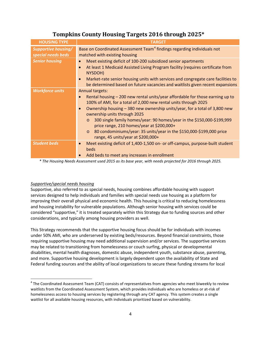| <b>HOUSING TYPE</b>                              | <b>TARGET</b>                                                                                                                                                                                                                                                                                                                                                                                                                                                                                                                                                                 |  |  |
|--------------------------------------------------|-------------------------------------------------------------------------------------------------------------------------------------------------------------------------------------------------------------------------------------------------------------------------------------------------------------------------------------------------------------------------------------------------------------------------------------------------------------------------------------------------------------------------------------------------------------------------------|--|--|
| <b>Supportive housing/</b><br>special needs beds | Base on Coordinated Assessment Team <sup>4</sup> findings regarding individuals not<br>matched with existing housing                                                                                                                                                                                                                                                                                                                                                                                                                                                          |  |  |
| <b>Senior housing</b>                            | Meet existing deficit of 100-200 subsidized senior apartments<br>$\bullet$<br>At least 1 Medicaid Assisted Living Program facility (requires certificate from<br>$\bullet$<br>NYSDOH)<br>Market-rate senior housing units with services and congregate care facilities to<br>$\bullet$<br>be determined based on future vacancies and waitlists given recent expansions                                                                                                                                                                                                       |  |  |
| <b>Workforce units</b>                           | <b>Annual targets:</b><br>Rental housing - 200 new rental units/year affordable for those earning up to<br>$\bullet$<br>100% of AMI, for a total of 2,000 new rental units through 2025<br>Ownership housing - 380 new ownership units/year, for a total of 3,800 new<br>$\bullet$<br>ownership units through 2025<br>300 single family homes/year: 90 homes/year in the \$150,000-\$199,999<br>$\circ$<br>price range, 210 homes/year at \$200,000+<br>80 condominiums/year: 35 units/year in the \$150,000-\$199,000 price<br>$\circ$<br>range, 45 units/year at \$200,000+ |  |  |
| <b>Student beds</b>                              | Meet existing deficit of 1,400-1,500 on- or off-campus, purpose-built student<br>$\bullet$<br>beds<br>Add beds to meet any increases in enrollment<br>$\bullet$                                                                                                                                                                                                                                                                                                                                                                                                               |  |  |

## **Tompkins County Housing Targets 2016 through 2025\***

*\* The Housing Needs Assessment used 2015 as its base year, with needs projected for 2016 through 2025.* 

#### *Supportive/special needs housing*

**.** 

 Supportive, also referred to as special needs, housing combines affordable housing with support services designed to help individuals and families with special needs use housing as a platform for improving their overall physical and economic health. This housing is critical to reducing homelessness and housing instability for vulnerable populations. Although senior housing with services could be considered "supportive," it is treated separately within this Strategy due to funding sources and other considerations, and typically among housing providers as well.

 This Strategy recommends that the supportive housing focus should be for individuals with incomes under 50% AMI, who are underserved by existing beds/resources. Beyond financial constraints, those requiring supportive housing may need additional supervision and/or services. The supportive services may be related to transitioning from homelessness or couch surfing, physical or developmental disabilities, mental health diagnoses, domestic abuse, independent youth, substance abuse, parenting, and more. Supportive housing development is largely dependent upon the availability of State and Federal funding sources and the ability of local organizations to secure these funding streams for local

<span id="page-4-0"></span> $4$  The Coordinated Assessment Team (CAT) consists of representatives from agencies who meet biweekly to review waitlists from the Coordinated Assessment System, which provides individuals who are homeless or at-risk of homelessness access to housing services by registering through any CAT agency. This system creates a single waitlist for all available housing resources, with individuals prioritized based on vulnerability.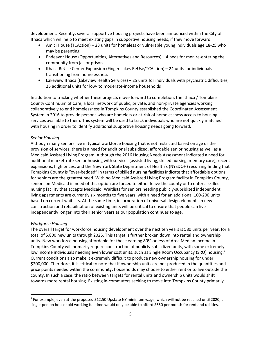Ithaca which will help to meet existing gaps in supportive housing needs, if they move forward: development. Recently, several supportive housing projects have been announced within the City of

- Amici House (TCAction) 23 units for homeless or vulnerable young individuals age 18-25 who may be parenting
- Endeavor House (Opportunities, Alternatives and Resources) 4 beds for men re-entering the community from jail or prison
- Ithaca ReUse Center Expansion (Finger Lakes ReUse/TCAction) 24 units for individuals transitioning from homelessness
- Lakeview Ithaca (Lakeview Health Services) 25 units for individuals with psychiatric difficulties, 25 additional units for low- to moderate-income households

 County Continuum of Care, a local network of public, private, and non-private agencies working System in 2016 to provide persons who are homeless or at-risk of homelessness access to housing services available to them. This system will be used to track individuals who are not quickly matched In addition to tracking whether these projects move forward to completion, the Ithaca / Tompkins collaboratively to end homelessness in Tompkins County established the Coordinated Assessment with housing in order to identify additional supportive housing needs going forward.

#### *Senior Housing*

 provision of services, there is a need for additional subsidized, affordable senior housing as well as a Tompkins County is "over-bedded" in terms of skilled nursing facilities indicate that affordable options for seniors are the greatest need. With no Medicaid Assisted Living Program facility in Tompkins County, seniors on Medicaid in need of this option are forced to either leave the county or to enter a skilled living apartments are currently six months to five years, with a need for an additional 100-200 units independently longer into their senior years as our population continues to age. Although many seniors live in typical workforce housing that is not restricted based on age or the Medicaid Assisted Living Program. Although the 2016 Housing Needs Assessment indicated a need for additional market-rate senior housing with services (assisted living, skilled nursing, memory care), recent expansions, high prices, and the New York State Department of Health's (NYSDOH) recurring finding that nursing facility that accepts Medicaid. Waitlists for seniors needing publicly-subsidized independent based on current waitlists. At the same time, incorporation of universal design elements in new construction and rehabilitation of existing units will be critical to ensure that people can live

#### *Workforce Housing*

 $\overline{\phantom{a}}$ 

 The overall target for workforce housing development over the next ten years is 580 units per year, for a Tompkins County will primarily require construction of publicly-subsidized units, with some extremely low income individuals needing even lower cost units, such as Single Room Occupancy (SRO) housing.<sup>[5](#page-5-0)</sup> Current conditions also make it extremely difficult to produce new ownership housing for under county. In such a case, the ratio between targets for rental units and ownership units would shift total of 5,800 new units through 2025. This target is further broken down into rental and ownership units. New workforce housing affordable for those earning 80% or less of Area Median Income in \$200,000. Therefore, it is critical to note that if ownership units are not produced in the quantities and price points needed within the community, households may choose to either rent or to live outside the towards more rental housing. Existing in-commuters seeking to move into Tompkins County primarily

<span id="page-5-0"></span><sup>&</sup>lt;sup>5</sup> For example, even at the proposed \$12.50 Upstate NY minimum wage, which will not be reached until 2020, a single-person household working full time would only be able to afford \$650 per month for rent and utilities.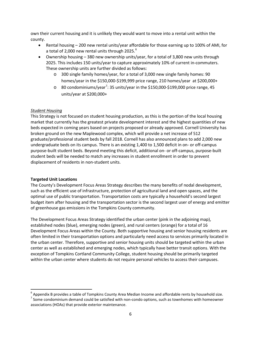own their current housing and it is unlikely they would want to move into a rental unit within the county.

- a total of 2,000 new rental units through 2025. $^6$  $^6$ • Rental housing – 200 new rental units/year affordable for those earning up to 100% of AMI, for
- 2025. This includes 150 units/year to capture approximately 10% of current in-commuters. • Ownership housing – 380 new ownership units/year, for a total of 3,800 new units through These ownership units are further divided as follows:
	- $\circ$  300 single family homes/year, for a total of 3,000 new single family homes: 90 homes/year in the \$150,000-\$199,999 price range, 210 homes/year at \$200,000+
	- $\circ$  80 condominiums/year<sup>[7](#page-6-1)</sup>: 35 units/year in the \$150,000-\$199,000 price range, 45 units/year at \$200,000+

#### *Student Housing*

 market that currently has the greatest private development interest and the highest quantities of new beds expected in coming years based on projects proposed or already approved. Cornell University has broken ground on the new Maplewood complex, which will provide a net increase of 512 undergraduate beds on its campus. There is an existing 1,400 to 1,500 deficit in on- or off-campus This Strategy is not focused on student housing production, as this is the portion of the local housing graduate/professional student beds by fall 2018. Cornell has also announced plans to add 2,000 new purpose-built student beds. Beyond meeting this deficit, additional on- or off-campus, purpose-built student beds will be needed to match any increases in student enrollment in order to prevent displacement of residents in non-student units.

#### **Targeted Unit Locations**

 $\overline{\phantom{a}}$ 

The County's Development Focus Areas Strategy describes the many benefits of nodal development, such as the efficient use of infrastructure, protection of agricultural land and open spaces, and the optimal use of public transportation. Transportation costs are typically a household's second largest budget item after housing and the transportation sector is the second largest user of energy and emitter of greenhouse gas emissions in the Tompkins County community.

 established nodes (blue), emerging nodes (green), and rural centers (orange) for a total of 16 Development Focus Areas within the County. Both supportive housing and senior housing residents are the urban center. Therefore, supportive and senior housing units should be targeted within the urban within the urban center where students do not require personal vehicles to access their campuses. The Development Focus Areas Strategy identified the urban center (pink in the adjoining map), often limited in their transportation options and particularly need access to services primarily located in center as well as established and emerging nodes, which typically have better transit options. With the exception of Tompkins Cortland Community College, student housing should be primarily targeted

<span id="page-6-1"></span><span id="page-6-0"></span> $\frac{6}{7}$  Appendix B provides a table of Tompkins County Area Median Income and affordable rents by household size.<br>
<sup>7</sup> Some condominium demand could be satisfied with non-condo options, such as townhomes with homeowner associations (HOAs) that provide exterior maintenance.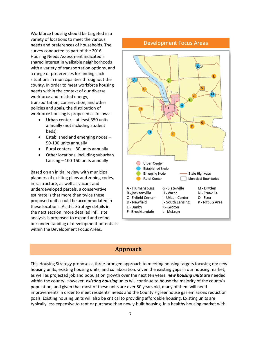variety of locations to meet the various survey conducted as part of the 2016 with a variety of transportation options, and situations in municipalities throughout the county. In order to meet workforce housing workforce and related energy, Workforce housing should be targeted in a needs and preferences of households. The Housing Needs Assessment indicated a shared interest in walkable neighborhoods a range of preferences for finding such needs within the context of our diverse transportation, conservation, and other policies and goals, the distribution of workforce housing is proposed as follows:

- • Urban center at least 350 units annually (not including student beds)
- $\bullet$  Established and emerging nodes  $-$ 50-100 units annually
- • Rural centers 30 units annually
- • Other locations, including suburban Lansing – 100-150 units annually

 Based on an initial review with municipal estimate is that more than twice these planners of existing plans and zoning codes, infrastructure, as well as vacant and underdeveloped parcels, a conservative proposed units could be accommodated in these locations. As this Strategy details in the next section, more detailed infill site analysis is proposed to expand and refine our understanding of development potentials within the Development Focus Areas.

#### **Development Focus Areas**



#### **Approach**

 This Housing Strategy proposes a three-pronged approach to meeting housing targets focusing on: new as well as projected job and population growth over the next ten years, *new housing units* are needed population, and given that most of these units are over 50 years old, many of them will need housing units, existing housing units, and collaboration. Given the existing gaps in our housing market, within the county. However, *existing housing* units will continue to house the majority of the county's improvements in order to meet residents' needs and the County's greenhouse gas emissions reduction goals. Existing housing units will also be critical to providing affordable housing. Existing units are typically less expensive to rent or purchase than newly-built housing. In a healthy housing market with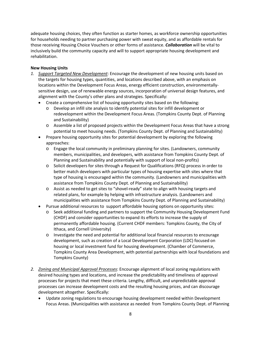adequate housing choices, they often function as starter homes, as workforce ownership opportunities those receiving Housing Choice Vouchers or other forms of assistance. *Collaboration* will be vital to for households needing to partner purchasing power with sweat equity, and as affordable rentals for inclusively build the community capacity and will to support appropriate housing development and rehabilitation.

#### **New Housing Units**

- *1. Support Targeted New Development*: Encourage the development of new housing units based on the targets for housing types, quantities, and locations described above, with an emphasis on locations within the Development Focus Areas, energy efficient construction, environmentallysensitive design, use of renewable energy sources, incorporation of universal design features, and alignment with the County's other plans and strategies. Specifically:
	- Create a comprehensive list of housing opportunity sites based on the following:
		- redevelopment within the Development Focus Areas. (Tompkins County Dept. of Planning  $\circ$  Develop an infill site analysis to identify potential sites for infill development or and Sustainability)
		- o Assemble a list of proposed projects within the Development Focus Areas that have a strong potential to meet housing needs. (Tompkins County Dept. of Planning and Sustainability)
	- Prepare housing opportunity sites for potential development by exploring the following approaches:
		- o Engage the local community in preliminary planning for sites. (Landowners, community members, municipalities, and developers, with assistance from Tompkins County Dept. of Planning and Sustainability and potentially with support of local non-profits)
		- o Solicit developers for sites through a Request for Qualifications (RFQ) process in order to better match developers with particular types of housing expertise with sites where that type of housing is encouraged within the community. (Landowners and municipalities with assistance from Tompkins County Dept. of Planning and Sustainability)
		- o Assist as needed to get sites to "shovel-ready" state to align with housing targets and related plans, for example by helping with infrastructure analysis. (Landowners and municipalities with assistance from Tompkins County Dept. of Planning and Sustainability)
	- Pursue additional resources to support affordable housing options on opportunity sites:
		- (CHDF) and consider opportunities to expand its efforts to increase the supply of o Seek additional funding and partners to support the Community Housing Development Fund permanently affordable housing. (Current CHDF members: Tompkins County, the City of Ithaca, and Cornell University)
		- Tompkins County)  $\circ$  Investigate the need and potential for additional local financial resources to encourage development, such as creation of a Local Development Corporation (LDC) focused on housing or local investment fund for housing development. (Chamber of Commerce, Tompkins County Area Development, with potential partnerships with local foundations and
- *2. Zoning and Municipal Approval Processes*: Encourage alignment of local zoning regulations with processes can increase development costs and the resulting housing prices, and can discourage desired housing types and locations, and increase the predictability and timeliness of approval processes for projects that meet these criteria. Lengthy, difficult, and unpredictable approval development altogether. Specifically:
	- Update zoning regulations to encourage housing development needed within Development Focus Areas. (Municipalities with assistance as needed from Tompkins County Dept. of Planning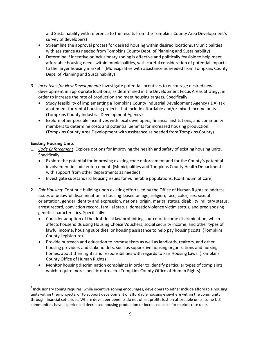and Sustainability with reference to the results from the Tompkins County Area Development's survey of developers)

- Streamline the approval process for desired housing within desired locations. (Municipalities with assistance as needed from Tompkins County Dept. of Planning and Sustainability)
- Determine if incentive or inclusionary zoning is effective and politically feasible to help meet affordable housing needs within municipalities, with careful consideration of potential impacts to the larger housing market.<sup>8</sup> (Municipalities with assistance as needed from Tompkins County Dept. of Planning and Sustainability)
- *3. Incentives for New Development*: Investigate potential incentives to encourage desired new development in appropriate locations, as determined in the Development Focus Areas Strategy, in order to increase the rate of production and meet housing targets. Specifically:
	- Study feasibility of implementing a Tompkins County Industrial Development Agency (IDA) tax abatement for rental housing projects that include affordable and/or mixed-income units. (Tompkins County Industrial Development Agency)
	- (Tompkins County Area Development with assistance as needed from Tompkins County) • Explore other possible incentives with local developers, financial institutions, and community members to determine costs and potential benefits for increased housing production.

#### **Existing Housing Units**

 $\overline{\phantom{a}}$ 

- 1. Code Enforcement: Explore options for improving the health and safety of existing housing units. Specifically:
	- Explore the potential for improving existing code enforcement and for the County's potential involvement in code enforcement. (Municipalities and Tompkins County Health Department with support from other departments as needed)
	- Investigate substandard housing issues for vulnerable populations. (Continuum of Care)
- 2. *Fair Housing*: Continue building upon existing efforts led by the Office of Human Rights to address issues of unlawful discrimination in housing based on age, religion, race, color, sex, sexual orientation, gender identity and expression, national origin, marital status, disability, military status, arrest record, conviction record, familial status, domestic violence victim status, and predisposing genetic characteristics. Specifically:
	- lawful income, housing subsidies, or housing assistance to help pay housing costs. (Tompkins County Legislature) • Consider adoption of the draft local law prohibiting source-of-income discrimination, which affects households using Housing Choice Vouchers, social security income, and other types of
	- • Provide outreach and education to homeseekers as well as landlords, realtors, and other housing providers and stakeholders, such as supportive housing organizations and nursing homes, about their rights and responsibilities with regards to Fair Housing Laws. (Tompkins County Office of Human Rights)
	- Monitor housing discrimination complaints in order to identify particular types of complaints which require more specific outreach. (Tompkins County Office of Human Rights)

<span id="page-9-0"></span><sup>&</sup>lt;sup>8</sup> Inclusionary zoning requires, while incentive zoning encourages, developers to either include affordable housing units within their projects, or to support development of affordable housing elsewhere within the community through financial set-asides. Where developer benefits do not offset profits lost on affordable units, some U.S. communities have experienced decreased housing production or increased costs for market-rate units.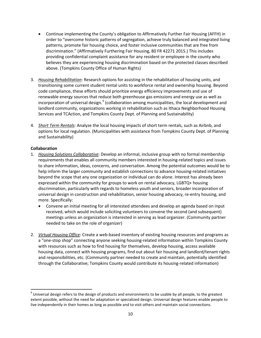- providing confidential complaint assistance for any resident or employee in the county who believes they are experiencing housing discrimination based on the protected classes described • Continue implementing the County's obligation to Affirmatively Further Fair Housing (AFFH) in order to "overcome historic patterns of segregation, achieve truly balanced and integrated living patterns, promote fair housing choice, and foster inclusive communities that are free from discrimination." (Affirmatively Furthering Fair Housing, 80 FR 42271 2015.) This includes above. (Tompkins County Office of Human Rights)
- renewable energy sources that reduce both greenhouse gas emissions and energy use as well as Services and TCAction, and Tompkins County Dept. of Planning and Sustainability) 3. *Housing Rehabilitation*: Research options for assisting in the rehabilitation of housing units, and transitioning some current student rental units to workforce rental and ownership housing. Beyond code compliance, these efforts should prioritize energy efficiency improvements and use of incorporation of universal design.<sup>[9](#page-10-0)</sup> (collaboration among municipalities, the local development and landlord community, organizations working in rehabilitation such as Ithaca Neighborhood Housing
- 4. *Short Term Rentals*: Analyze the local housing impacts of short term rentals, such as Airbnb, and options for local regulation. (Municipalities with assistance from Tompkins County Dept. of Planning and Sustainability)

#### **Collaboration**

 $\overline{\phantom{a}}$ 

- help inform the larger community and establish connections to advance housing-related initiatives beyond the scope that any one organization or individual can do alone. Interest has already been expressed within the community for groups to work on rental advocacy, LGBTQ+ housing discrimination, particularly with regards to homeless youth and seniors, broader incorporation of 1. *Housing Solutions Collaborative*: Develop an informal, inclusive group with no formal membership requirements that enables all community members interested in housing-related topics and issues to share information, ideas, concerns, and conversation. Among the potential outcomes would be to universal design in construction and rehabilitation, senior housing advocacy, re-entry housing, and more. Specifically:
	- needed to take on the role of organizer) • Convene an initial meeting for all interested attendees and develop an agenda based on input received, which would include soliciting volunteers to convene the second (and subsequent) meetings unless an organization is interested in serving as lead organizer. (Community partner
- a "one-stop shop" connecting anyone seeking housing-related information within Tompkins County 2. *Virtual Housing Office*: Create a web-based inventory of existing housing resources and programs as with resources such as how to find housing for themselves, develop housing, access available housing data, connect with housing programs, find out about fair housing and landlord/tenant rights and responsibilities, etc. (Community partner needed to create and maintain, potentially identified through the Collaborative; Tompkins County would contribute its housing-related information)

<span id="page-10-0"></span> $9$  Universal design refers to the design of products and environments to be usable by all people, to the greatest extent possible, without the need for adaptation or specialized design. Universal design features enable people to live independently in their homes as long as possible and to visit others and maintain social connections.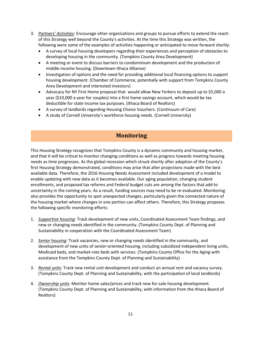- 3. *Partners' Activities*: Encourage other organizations and groups to pursue efforts to extend the reach of this Strategy well beyond the County's activities. At the time this Strategy was written, the following were some of the examples of activities happening or anticipated to move forward shortly:
	- A survey of local housing developers regarding their experiences and perception of obstacles to developing housing in the community. (Tompkins County Area Development)
	- • A meeting or event to discuss barriers to condominium development and the production of middle-income housing. (Downtown Ithaca Alliance)
	- • Investigation of options and the need for providing additional local financing options to support housing development. (Chamber of Commerce, potentially with support from Tompkins County Area Development and interested investors)
	- Advocacy for NY First Home proposal that would allow New Yorkers to deposit up to \$5,000 a year (\$10,000 a year for couples) into a first home savings account, which would be tax deductible for state income tax purposes. (Ithaca Board of Realtors)
	- A survey of landlords regarding Housing Choice Vouchers. (Continuum of Care)
	- A study of Cornell University's workforce housing needs. (Cornell University)

## **Monitoring**

 and that it will be critical to monitor changing conditions as well as progress towards meeting housing first Housing Strategy demonstrated, conditions may arise that alter projections made with the best enable updating with new data as it becomes available. Our aging population, changing student uncertainty in the coming years. As a result, funding sources may need to be re-evaluated. Monitoring the housing market where changes in one portion can affect others. Therefore, this Strategy proposes This Housing Strategy recognizes that Tompkins County is a dynamic community and housing market, needs as time progresses. As the global recession which struck shortly after adoption of the County's available data. Therefore, the 2016 Housing Needs Assessment included development of a model to enrollments, and proposed tax reforms and Federal budget cuts are among the factors that add to also provides the opportunity to spot unexpected changes, particularly given the connected nature of the following specific monitoring efforts:

- 1. Supportive housing: Track development of new units, Coordinated Assessment Team findings, and new or changing needs identified in the community. (Tompkins County Dept. of Planning and Sustainability in cooperation with the Coordinated Assessment Team)
- Medicaid beds, and market-rate beds with services. (Tompkins County Office for the Aging with 2. *Senior housing*: Track vacancies, new or changing needs identified in the community, and development of new units of senior-oriented housing, including subsidized independent living units, assistance from the Tompkins County Dept. of Planning and Sustainability)
- (Tompkins County Dept. of Planning and Sustainability, with the participation of local landlords) 3. *Rental units*: Track new rental unit development and conduct an annual rent and vacancy survey.
- (Tompkins County Dept. of Planning and Sustainability, with information from the Ithaca Board of 4. *Ownership units*: Monitor home sales/prices and track new for-sale housing development. Realtors)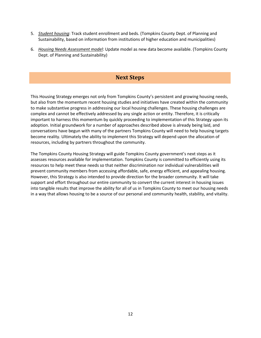- 5. *Student housing*: Track student enrollment and beds. (Tompkins County Dept. of Planning and Sustainability, based on information from institutions of higher education and municipalities)
- 6. *Housing Needs Assessment model*: Update model as new data become available. (Tompkins County Dept. of Planning and Sustainability)

### **Next Steps**

 to make substantive progress in addressing our local housing challenges. These housing challenges are important to harness this momentum by quickly proceeding to implementation of this Strategy upon its conversations have begun with many of the partners Tompkins County will need to help housing targets become reality. Ultimately the ability to implement this Strategy will depend upon the allocation of This Housing Strategy emerges not only from Tompkins County's persistent and growing housing needs, but also from the momentum recent housing studies and initiatives have created within the community complex and cannot be effectively addressed by any single action or entity. Therefore, it is critically adoption. Initial groundwork for a number of approaches described above is already being laid, and resources, including by partners throughout the community.

 assesses resources available for implementation. Tompkins County is committed to efficiently using its into tangible results that improve the ability for all of us in Tompkins County to meet our housing needs The Tompkins County Housing Strategy will guide Tompkins County government's next steps as it resources to help meet these needs so that neither discrimination nor individual vulnerabilities will prevent community members from accessing affordable, safe, energy efficient, and appealing housing. However, this Strategy is also intended to provide direction for the broader community. It will take support and effort throughout our entire community to convert the current interest in housing issues in a way that allows housing to be a source of our personal and community health, stability, and vitality.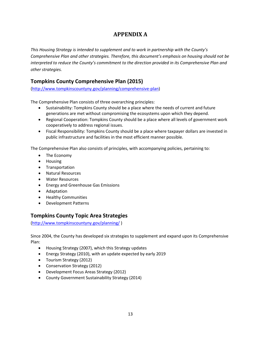## **APPENDIX A**

*This Housing Strategy is intended to supplement and to work in partnership with the County's Comprehensive Plan and other strategies. Therefore, this document's emphasis on housing should not be interpreted to reduce the County's commitment to the direction provided in its Comprehensive Plan and other strategies.* 

## **Tompkins County Comprehensive Plan (2015)**

[\(http://www.tompkinscountyny.gov/planning/comprehensive-plan\)](http://www.tompkinscountyny.gov/planning/comprehensive-plan)

The Comprehensive Plan consists of three overarching principles:

- Sustainability: Tompkins County should be a place where the needs of current and future generations are met without compromising the ecosystems upon which they depend.
- Regional Cooperation: Tompkins County should be a place where all levels of government work cooperatively to address regional issues.
- public infrastructure and facilities in the most efficient manner possible. • Fiscal Responsibility: Tompkins County should be a place where taxpayer dollars are invested in

The Comprehensive Plan also consists of principles, with accompanying policies, pertaining to:

- • The Economy
- • Housing
- • Transportation
- • Natural Resources
- • Water Resources
- • Energy and Greenhouse Gas Emissions
- • Adaptation
- • Healthy Communities
- • Development Patterns

## **Tompkins County Topic Area Strategies**

[\(http://www.tompkinscountyny.gov/planning/](http://www.tompkinscountyny.gov/planning/comprehensive-plan) )

Since 2004, the County has developed six strategies to supplement and expand upon its Comprehensive Plan:

- Housing Strategy (2007), which this Strategy updates
- Energy Strategy (2010), with an update expected by early 2019
- Tourism Strategy (2012)
- Conservation Strategy (2012)
- • Development Focus Areas Strategy (2012)
- County Government Sustainability Strategy (2014)